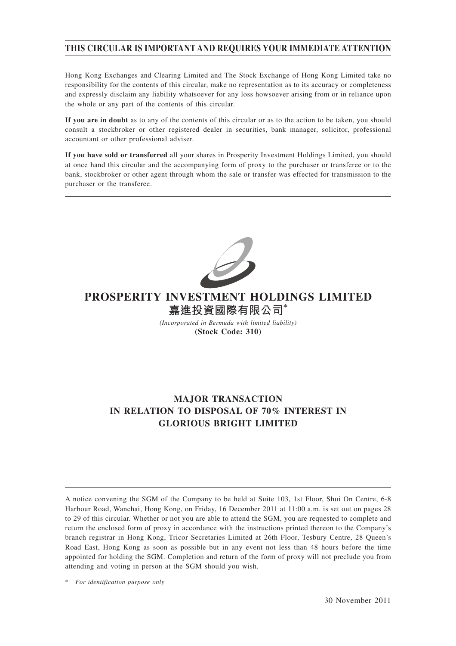# **THIS CIRCULAR IS IMPORTANT AND REQUIRES YOUR IMMEDIATE ATTENTION**

Hong Kong Exchanges and Clearing Limited and The Stock Exchange of Hong Kong Limited take no responsibility for the contents of this circular, make no representation as to its accuracy or completeness and expressly disclaim any liability whatsoever for any loss howsoever arising from or in reliance upon the whole or any part of the contents of this circular.

**If you are in doubt** as to any of the contents of this circular or as to the action to be taken, you should consult a stockbroker or other registered dealer in securities, bank manager, solicitor, professional accountant or other professional adviser.

**If you have sold or transferred** all your shares in Prosperity Investment Holdings Limited, you should at once hand this circular and the accompanying form of proxy to the purchaser or transferee or to the bank, stockbroker or other agent through whom the sale or transfer was effected for transmission to the purchaser or the transferee.



# **PROSPERITY INVESTMENT HOLDINGS LIMITED 嘉進投資國際有限公司\***

*(Incorporated in Bermuda with limited liability)* **(Stock Code: 310)**

# **MAJOR TRANSACTION IN RELATION TO DISPOSAL OF 70% INTEREST IN GLORIOUS BRIGHT LIMITED**

A notice convening the SGM of the Company to be held at Suite 103, 1st Floor, Shui On Centre, 6-8 Harbour Road, Wanchai, Hong Kong, on Friday, 16 December 2011 at 11:00 a.m. is set out on pages 28 to 29 of this circular. Whether or not you are able to attend the SGM, you are requested to complete and return the enclosed form of proxy in accordance with the instructions printed thereon to the Company's branch registrar in Hong Kong, Tricor Secretaries Limited at 26th Floor, Tesbury Centre, 28 Queen's Road East, Hong Kong as soon as possible but in any event not less than 48 hours before the time appointed for holding the SGM. Completion and return of the form of proxy will not preclude you from attending and voting in person at the SGM should you wish.

<sup>\*</sup> *For identification purpose only*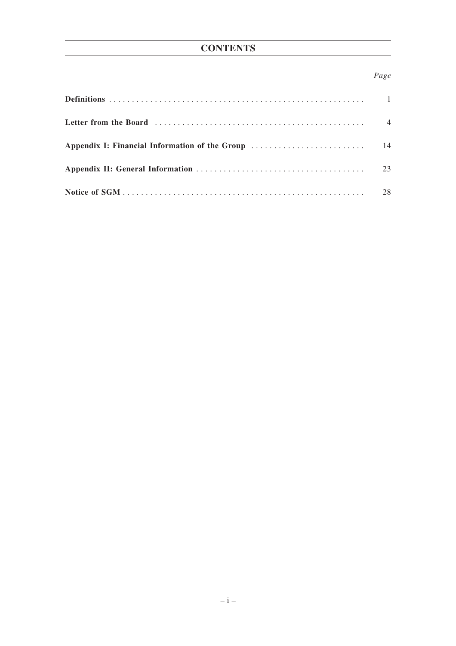# *Page*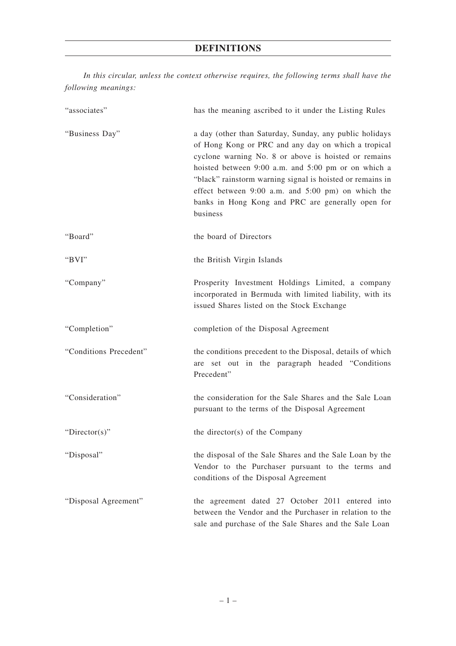# **DEFINITIONS**

*In this circular, unless the context otherwise requires, the following terms shall have the following meanings:*

| "associates"           | has the meaning ascribed to it under the Listing Rules                                                                                                                                                                                                                                                                                                                                                            |
|------------------------|-------------------------------------------------------------------------------------------------------------------------------------------------------------------------------------------------------------------------------------------------------------------------------------------------------------------------------------------------------------------------------------------------------------------|
| "Business Day"         | a day (other than Saturday, Sunday, any public holidays<br>of Hong Kong or PRC and any day on which a tropical<br>cyclone warning No. 8 or above is hoisted or remains<br>hoisted between 9:00 a.m. and 5:00 pm or on which a<br>"black" rainstorm warning signal is hoisted or remains in<br>effect between 9:00 a.m. and 5:00 pm) on which the<br>banks in Hong Kong and PRC are generally open for<br>business |
| "Board"                | the board of Directors                                                                                                                                                                                                                                                                                                                                                                                            |
| "BVI"                  | the British Virgin Islands                                                                                                                                                                                                                                                                                                                                                                                        |
| "Company"              | Prosperity Investment Holdings Limited, a company<br>incorporated in Bermuda with limited liability, with its<br>issued Shares listed on the Stock Exchange                                                                                                                                                                                                                                                       |
| "Completion"           | completion of the Disposal Agreement                                                                                                                                                                                                                                                                                                                                                                              |
| "Conditions Precedent" | the conditions precedent to the Disposal, details of which<br>are set out in the paragraph headed "Conditions"<br>Precedent"                                                                                                                                                                                                                                                                                      |
| "Consideration"        | the consideration for the Sale Shares and the Sale Loan<br>pursuant to the terms of the Disposal Agreement                                                                                                                                                                                                                                                                                                        |
| "Director(s)"          | the director(s) of the Company                                                                                                                                                                                                                                                                                                                                                                                    |
| "Disposal"             | the disposal of the Sale Shares and the Sale Loan by the<br>Vendor to the Purchaser pursuant to the terms and<br>conditions of the Disposal Agreement                                                                                                                                                                                                                                                             |
| "Disposal Agreement"   | the agreement dated 27 October 2011 entered into<br>between the Vendor and the Purchaser in relation to the<br>sale and purchase of the Sale Shares and the Sale Loan                                                                                                                                                                                                                                             |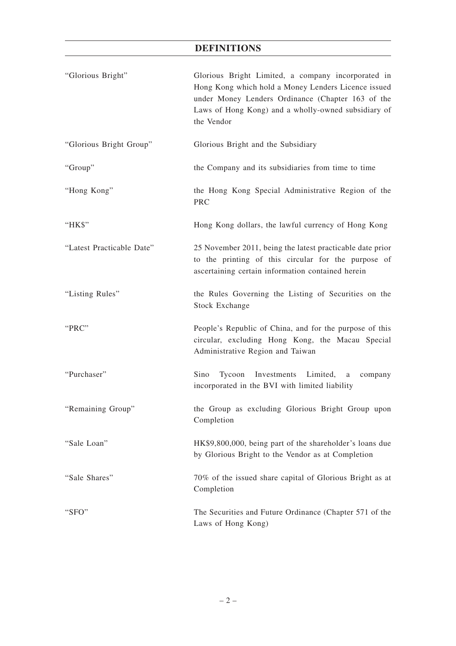# **DEFINITIONS**

| "Glorious Bright"         | Glorious Bright Limited, a company incorporated in<br>Hong Kong which hold a Money Lenders Licence issued<br>under Money Lenders Ordinance (Chapter 163 of the<br>Laws of Hong Kong) and a wholly-owned subsidiary of<br>the Vendor |
|---------------------------|-------------------------------------------------------------------------------------------------------------------------------------------------------------------------------------------------------------------------------------|
| "Glorious Bright Group"   | Glorious Bright and the Subsidiary                                                                                                                                                                                                  |
| "Group"                   | the Company and its subsidiaries from time to time                                                                                                                                                                                  |
| "Hong Kong"               | the Hong Kong Special Administrative Region of the<br>PRC                                                                                                                                                                           |
| "HK\$"                    | Hong Kong dollars, the lawful currency of Hong Kong                                                                                                                                                                                 |
| "Latest Practicable Date" | 25 November 2011, being the latest practicable date prior<br>to the printing of this circular for the purpose of<br>ascertaining certain information contained herein                                                               |
| "Listing Rules"           | the Rules Governing the Listing of Securities on the<br><b>Stock Exchange</b>                                                                                                                                                       |
| "PRC"                     | People's Republic of China, and for the purpose of this<br>circular, excluding Hong Kong, the Macau Special<br>Administrative Region and Taiwan                                                                                     |
| "Purchaser"               | Tycoon Investments<br>Sino<br>Limited,<br>a<br>company<br>incorporated in the BVI with limited liability                                                                                                                            |
| "Remaining Group"         | the Group as excluding Glorious Bright Group upon<br>Completion                                                                                                                                                                     |
| "Sale Loan"               | HK\$9,800,000, being part of the shareholder's loans due<br>by Glorious Bright to the Vendor as at Completion                                                                                                                       |
| "Sale Shares"             | 70% of the issued share capital of Glorious Bright as at<br>Completion                                                                                                                                                              |
| "SFO"                     | The Securities and Future Ordinance (Chapter 571 of the<br>Laws of Hong Kong)                                                                                                                                                       |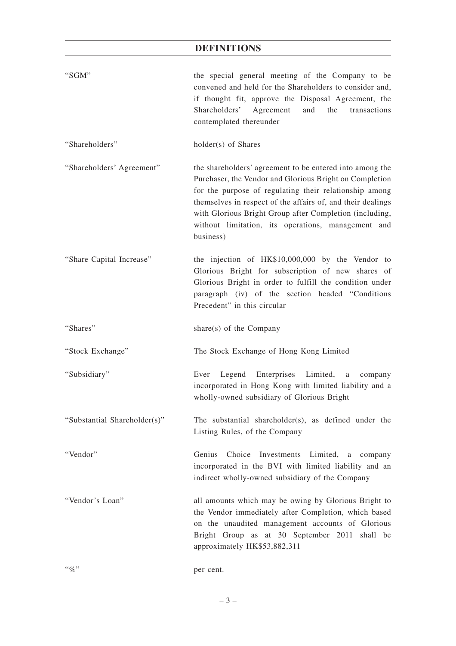# **DEFINITIONS**

| "SGM"                        | the special general meeting of the Company to be<br>convened and held for the Shareholders to consider and,<br>if thought fit, approve the Disposal Agreement, the<br>Shareholders'<br>Agreement<br>the<br>and<br>transactions<br>contemplated thereunder                                                                                                                  |
|------------------------------|----------------------------------------------------------------------------------------------------------------------------------------------------------------------------------------------------------------------------------------------------------------------------------------------------------------------------------------------------------------------------|
| "Shareholders"               | holder(s) of Shares                                                                                                                                                                                                                                                                                                                                                        |
| "Shareholders' Agreement"    | the shareholders' agreement to be entered into among the<br>Purchaser, the Vendor and Glorious Bright on Completion<br>for the purpose of regulating their relationship among<br>themselves in respect of the affairs of, and their dealings<br>with Glorious Bright Group after Completion (including,<br>without limitation, its operations, management and<br>business) |
| "Share Capital Increase"     | the injection of HK\$10,000,000 by the Vendor to<br>Glorious Bright for subscription of new shares of<br>Glorious Bright in order to fulfill the condition under<br>paragraph (iv) of the section headed "Conditions<br>Precedent" in this circular                                                                                                                        |
| "Shares"                     | share $(s)$ of the Company                                                                                                                                                                                                                                                                                                                                                 |
| "Stock Exchange"             | The Stock Exchange of Hong Kong Limited                                                                                                                                                                                                                                                                                                                                    |
| "Subsidiary"                 | Enterprises Limited,<br>Legend<br>Ever<br>a<br>company<br>incorporated in Hong Kong with limited liability and a<br>wholly-owned subsidiary of Glorious Bright                                                                                                                                                                                                             |
| "Substantial Shareholder(s)" | The substantial shareholder(s), as defined under the                                                                                                                                                                                                                                                                                                                       |
|                              | Listing Rules, of the Company                                                                                                                                                                                                                                                                                                                                              |
| "Vendor"                     | Genius<br>Choice Investments Limited, a company<br>incorporated in the BVI with limited liability and an<br>indirect wholly-owned subsidiary of the Company                                                                                                                                                                                                                |
| "Vendor's Loan"              | all amounts which may be owing by Glorious Bright to<br>the Vendor immediately after Completion, which based<br>on the unaudited management accounts of Glorious<br>Bright Group as at 30 September 2011 shall be<br>approximately HK\$53,882,311                                                                                                                          |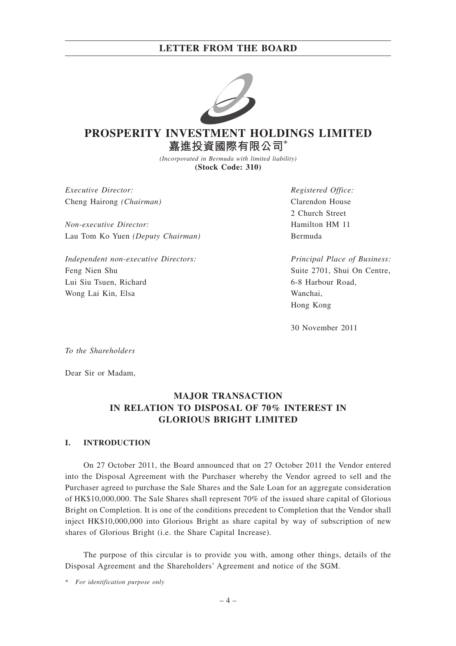

# **PROSPERITY INVESTMENT HOLDINGS LIMITED 嘉進投資國際有限公司\***

*(Incorporated in Bermuda with limited liability)* **(Stock Code: 310)**

*Executive Director:* Cheng Hairong *(Chairman)*

*Non-executive Director:* Lau Tom Ko Yuen *(Deputy Chairman)*

*Independent non-executive Directors:* Feng Nien Shu Lui Siu Tsuen, Richard Wong Lai Kin, Elsa

*Registered Office:* Clarendon House 2 Church Street Hamilton HM 11 Bermuda

*Principal Place of Business:* Suite 2701, Shui On Centre, 6-8 Harbour Road, Wanchai, Hong Kong

30 November 2011

*To the Shareholders*

Dear Sir or Madam,

# **MAJOR TRANSACTION IN RELATION TO DISPOSAL OF 70% INTEREST IN GLORIOUS BRIGHT LIMITED**

## **I. INTRODUCTION**

On 27 October 2011, the Board announced that on 27 October 2011 the Vendor entered into the Disposal Agreement with the Purchaser whereby the Vendor agreed to sell and the Purchaser agreed to purchase the Sale Shares and the Sale Loan for an aggregate consideration of HK\$10,000,000. The Sale Shares shall represent 70% of the issued share capital of Glorious Bright on Completion. It is one of the conditions precedent to Completion that the Vendor shall inject HK\$10,000,000 into Glorious Bright as share capital by way of subscription of new shares of Glorious Bright (i.e. the Share Capital Increase).

The purpose of this circular is to provide you with, among other things, details of the Disposal Agreement and the Shareholders' Agreement and notice of the SGM.

\* *For identification purpose only*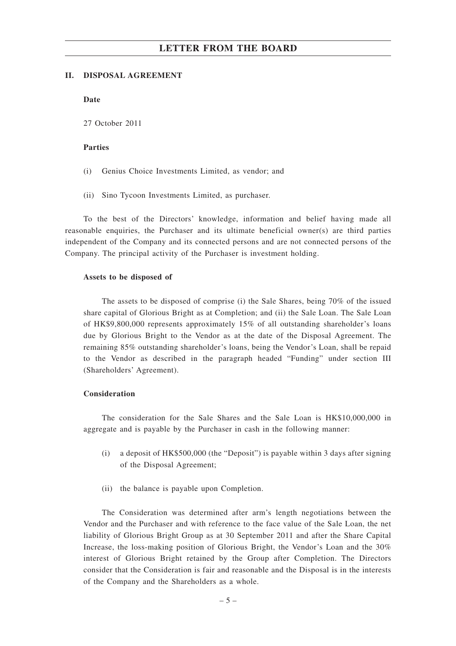#### **II. DISPOSAL AGREEMENT**

**Date**

27 October 2011

## **Parties**

- (i) Genius Choice Investments Limited, as vendor; and
- (ii) Sino Tycoon Investments Limited, as purchaser.

To the best of the Directors' knowledge, information and belief having made all reasonable enquiries, the Purchaser and its ultimate beneficial owner(s) are third parties independent of the Company and its connected persons and are not connected persons of the Company. The principal activity of the Purchaser is investment holding.

## **Assets to be disposed of**

The assets to be disposed of comprise (i) the Sale Shares, being 70% of the issued share capital of Glorious Bright as at Completion; and (ii) the Sale Loan. The Sale Loan of HK\$9,800,000 represents approximately 15% of all outstanding shareholder's loans due by Glorious Bright to the Vendor as at the date of the Disposal Agreement. The remaining 85% outstanding shareholder's loans, being the Vendor's Loan, shall be repaid to the Vendor as described in the paragraph headed "Funding" under section III (Shareholders' Agreement).

## **Consideration**

The consideration for the Sale Shares and the Sale Loan is HK\$10,000,000 in aggregate and is payable by the Purchaser in cash in the following manner:

- (i) a deposit of HK\$500,000 (the "Deposit") is payable within 3 days after signing of the Disposal Agreement;
- (ii) the balance is payable upon Completion.

The Consideration was determined after arm's length negotiations between the Vendor and the Purchaser and with reference to the face value of the Sale Loan, the net liability of Glorious Bright Group as at 30 September 2011 and after the Share Capital Increase, the loss-making position of Glorious Bright, the Vendor's Loan and the 30% interest of Glorious Bright retained by the Group after Completion. The Directors consider that the Consideration is fair and reasonable and the Disposal is in the interests of the Company and the Shareholders as a whole.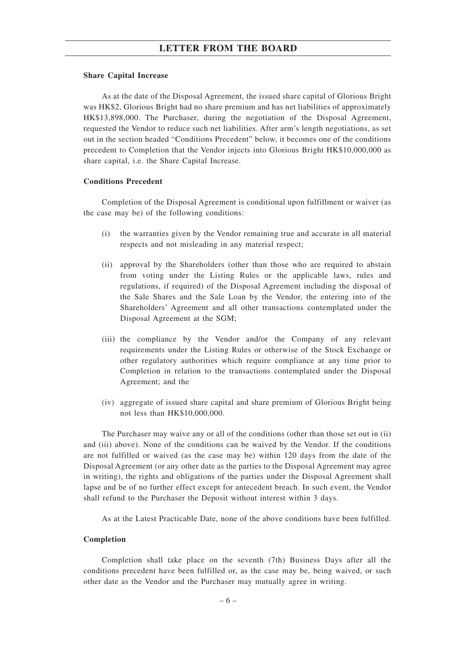#### **Share Capital Increase**

As at the date of the Disposal Agreement, the issued share capital of Glorious Bright was HK\$2, Glorious Bright had no share premium and has net liabilities of approximately HK\$13,898,000. The Purchaser, during the negotiation of the Disposal Agreement, requested the Vendor to reduce such net liabilities. After arm's length negotiations, as set out in the section headed "Conditions Precedent" below, it becomes one of the conditions precedent to Completion that the Vendor injects into Glorious Bright HK\$10,000,000 as share capital, i.e. the Share Capital Increase.

### **Conditions Precedent**

Completion of the Disposal Agreement is conditional upon fulfillment or waiver (as the case may be) of the following conditions:

- (i) the warranties given by the Vendor remaining true and accurate in all material respects and not misleading in any material respect;
- (ii) approval by the Shareholders (other than those who are required to abstain from voting under the Listing Rules or the applicable laws, rules and regulations, if required) of the Disposal Agreement including the disposal of the Sale Shares and the Sale Loan by the Vendor, the entering into of the Shareholders' Agreement and all other transactions contemplated under the Disposal Agreement at the SGM;
- (iii) the compliance by the Vendor and/or the Company of any relevant requirements under the Listing Rules or otherwise of the Stock Exchange or other regulatory authorities which require compliance at any time prior to Completion in relation to the transactions contemplated under the Disposal Agreement; and the
- (iv) aggregate of issued share capital and share premium of Glorious Bright being not less than HK\$10,000,000.

The Purchaser may waive any or all of the conditions (other than those set out in (ii) and (iii) above). None of the conditions can be waived by the Vendor. If the conditions are not fulfilled or waived (as the case may be) within 120 days from the date of the Disposal Agreement (or any other date as the parties to the Disposal Agreement may agree in writing), the rights and obligations of the parties under the Disposal Agreement shall lapse and be of no further effect except for antecedent breach. In such event, the Vendor shall refund to the Purchaser the Deposit without interest within 3 days.

As at the Latest Practicable Date, none of the above conditions have been fulfilled.

#### **Completion**

Completion shall take place on the seventh (7th) Business Days after all the conditions precedent have been fulfilled or, as the case may be, being waived, or such other date as the Vendor and the Purchaser may mutually agree in writing.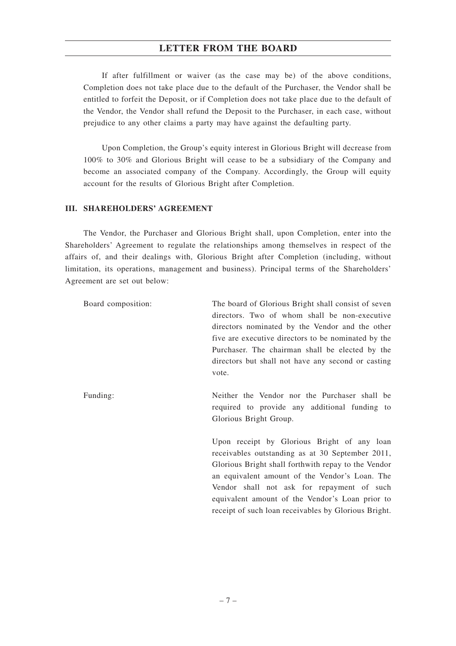If after fulfillment or waiver (as the case may be) of the above conditions, Completion does not take place due to the default of the Purchaser, the Vendor shall be entitled to forfeit the Deposit, or if Completion does not take place due to the default of the Vendor, the Vendor shall refund the Deposit to the Purchaser, in each case, without prejudice to any other claims a party may have against the defaulting party.

Upon Completion, the Group's equity interest in Glorious Bright will decrease from 100% to 30% and Glorious Bright will cease to be a subsidiary of the Company and become an associated company of the Company. Accordingly, the Group will equity account for the results of Glorious Bright after Completion.

# **III. SHAREHOLDERS' AGREEMENT**

The Vendor, the Purchaser and Glorious Bright shall, upon Completion, enter into the Shareholders' Agreement to regulate the relationships among themselves in respect of the affairs of, and their dealings with, Glorious Bright after Completion (including, without limitation, its operations, management and business). Principal terms of the Shareholders' Agreement are set out below:

| Board composition: | The board of Glorious Bright shall consist of seven<br>directors. Two of whom shall be non-executive<br>directors nominated by the Vendor and the other<br>five are executive directors to be nominated by the<br>Purchaser. The chairman shall be elected by the<br>directors but shall not have any second or casting                                           |
|--------------------|-------------------------------------------------------------------------------------------------------------------------------------------------------------------------------------------------------------------------------------------------------------------------------------------------------------------------------------------------------------------|
| Funding:           | vote.<br>Neither the Vendor nor the Purchaser shall be<br>required to provide any additional funding to<br>Glorious Bright Group.                                                                                                                                                                                                                                 |
|                    | Upon receipt by Glorious Bright of any loan<br>receivables outstanding as at 30 September 2011,<br>Glorious Bright shall forthwith repay to the Vendor<br>an equivalent amount of the Vendor's Loan. The<br>Vendor shall not ask for repayment of such<br>equivalent amount of the Vendor's Loan prior to<br>receipt of such loan receivables by Glorious Bright. |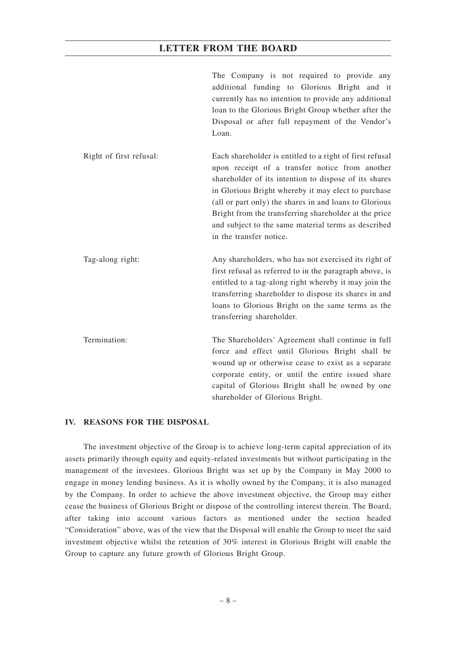|                         | The Company is not required to provide any<br>additional funding to Glorious Bright and it<br>currently has no intention to provide any additional<br>loan to the Glorious Bright Group whether after the<br>Disposal or after full repayment of the Vendor's<br>Loan.                                                                                                                                                          |
|-------------------------|---------------------------------------------------------------------------------------------------------------------------------------------------------------------------------------------------------------------------------------------------------------------------------------------------------------------------------------------------------------------------------------------------------------------------------|
| Right of first refusal: | Each shareholder is entitled to a right of first refusal<br>upon receipt of a transfer notice from another<br>shareholder of its intention to dispose of its shares<br>in Glorious Bright whereby it may elect to purchase<br>(all or part only) the shares in and loans to Glorious<br>Bright from the transferring shareholder at the price<br>and subject to the same material terms as described<br>in the transfer notice. |
| Tag-along right:        | Any shareholders, who has not exercised its right of<br>first refusal as referred to in the paragraph above, is<br>entitled to a tag-along right whereby it may join the<br>transferring shareholder to dispose its shares in and<br>loans to Glorious Bright on the same terms as the<br>transferring shareholder.                                                                                                             |
| Termination:            | The Shareholders' Agreement shall continue in full<br>force and effect until Glorious Bright shall be<br>wound up or otherwise cease to exist as a separate<br>corporate entity, or until the entire issued share<br>capital of Glorious Bright shall be owned by one<br>shareholder of Glorious Bright.                                                                                                                        |

## **IV. REASONS FOR THE DISPOSAL**

The investment objective of the Group is to achieve long-term capital appreciation of its assets primarily through equity and equity-related investments but without participating in the management of the investees. Glorious Bright was set up by the Company in May 2000 to engage in money lending business. As it is wholly owned by the Company, it is also managed by the Company. In order to achieve the above investment objective, the Group may either cease the business of Glorious Bright or dispose of the controlling interest therein. The Board, after taking into account various factors as mentioned under the section headed "Consideration" above, was of the view that the Disposal will enable the Group to meet the said investment objective whilst the retention of 30% interest in Glorious Bright will enable the Group to capture any future growth of Glorious Bright Group.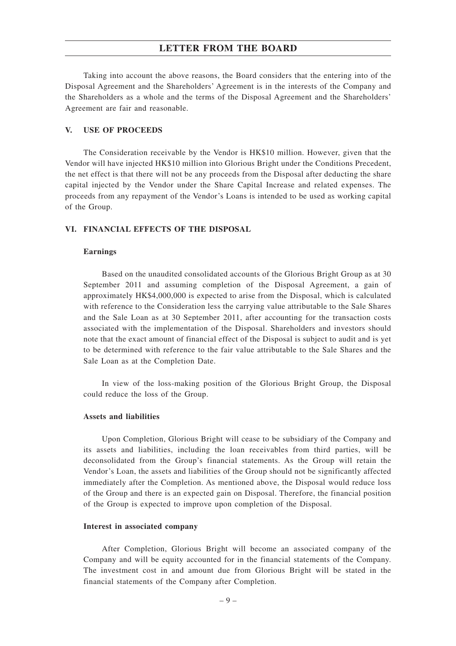Taking into account the above reasons, the Board considers that the entering into of the Disposal Agreement and the Shareholders' Agreement is in the interests of the Company and the Shareholders as a whole and the terms of the Disposal Agreement and the Shareholders' Agreement are fair and reasonable.

## **V. USE OF PROCEEDS**

The Consideration receivable by the Vendor is HK\$10 million. However, given that the Vendor will have injected HK\$10 million into Glorious Bright under the Conditions Precedent, the net effect is that there will not be any proceeds from the Disposal after deducting the share capital injected by the Vendor under the Share Capital Increase and related expenses. The proceeds from any repayment of the Vendor's Loans is intended to be used as working capital of the Group.

### **VI. FINANCIAL EFFECTS OF THE DISPOSAL**

#### **Earnings**

Based on the unaudited consolidated accounts of the Glorious Bright Group as at 30 September 2011 and assuming completion of the Disposal Agreement, a gain of approximately HK\$4,000,000 is expected to arise from the Disposal, which is calculated with reference to the Consideration less the carrying value attributable to the Sale Shares and the Sale Loan as at 30 September 2011, after accounting for the transaction costs associated with the implementation of the Disposal. Shareholders and investors should note that the exact amount of financial effect of the Disposal is subject to audit and is yet to be determined with reference to the fair value attributable to the Sale Shares and the Sale Loan as at the Completion Date.

In view of the loss-making position of the Glorious Bright Group, the Disposal could reduce the loss of the Group.

## **Assets and liabilities**

Upon Completion, Glorious Bright will cease to be subsidiary of the Company and its assets and liabilities, including the loan receivables from third parties, will be deconsolidated from the Group's financial statements. As the Group will retain the Vendor's Loan, the assets and liabilities of the Group should not be significantly affected immediately after the Completion. As mentioned above, the Disposal would reduce loss of the Group and there is an expected gain on Disposal. Therefore, the financial position of the Group is expected to improve upon completion of the Disposal.

#### **Interest in associated company**

After Completion, Glorious Bright will become an associated company of the Company and will be equity accounted for in the financial statements of the Company. The investment cost in and amount due from Glorious Bright will be stated in the financial statements of the Company after Completion.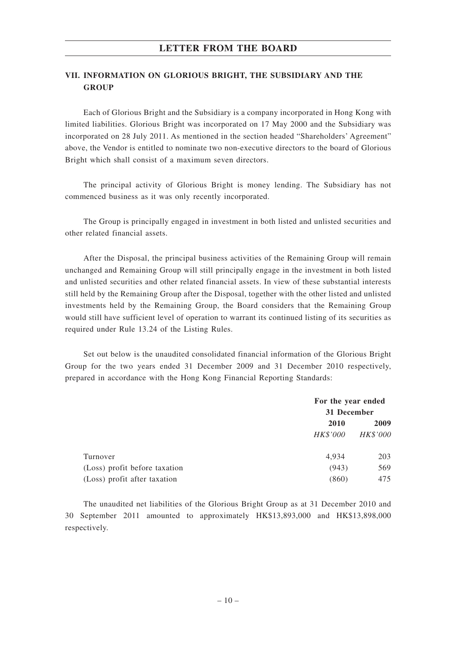# **VII. INFORMATION ON GLORIOUS BRIGHT, THE SUBSIDIARY AND THE GROUP**

Each of Glorious Bright and the Subsidiary is a company incorporated in Hong Kong with limited liabilities. Glorious Bright was incorporated on 17 May 2000 and the Subsidiary was incorporated on 28 July 2011. As mentioned in the section headed "Shareholders' Agreement" above, the Vendor is entitled to nominate two non-executive directors to the board of Glorious Bright which shall consist of a maximum seven directors.

The principal activity of Glorious Bright is money lending. The Subsidiary has not commenced business as it was only recently incorporated.

The Group is principally engaged in investment in both listed and unlisted securities and other related financial assets.

After the Disposal, the principal business activities of the Remaining Group will remain unchanged and Remaining Group will still principally engage in the investment in both listed and unlisted securities and other related financial assets. In view of these substantial interests still held by the Remaining Group after the Disposal, together with the other listed and unlisted investments held by the Remaining Group, the Board considers that the Remaining Group would still have sufficient level of operation to warrant its continued listing of its securities as required under Rule 13.24 of the Listing Rules.

Set out below is the unaudited consolidated financial information of the Glorious Bright Group for the two years ended 31 December 2009 and 31 December 2010 respectively, prepared in accordance with the Hong Kong Financial Reporting Standards:

|                               | For the year ended |                 |  |
|-------------------------------|--------------------|-----------------|--|
|                               | 31 December        |                 |  |
|                               | 2010               | 2009            |  |
|                               | <b>HK\$'000</b>    | <i>HK\$'000</i> |  |
| Turnover                      | 4,934              | 203             |  |
| (Loss) profit before taxation | (943)              | 569             |  |
| (Loss) profit after taxation  | (860)              | 475             |  |

The unaudited net liabilities of the Glorious Bright Group as at 31 December 2010 and 30 September 2011 amounted to approximately HK\$13,893,000 and HK\$13,898,000 respectively.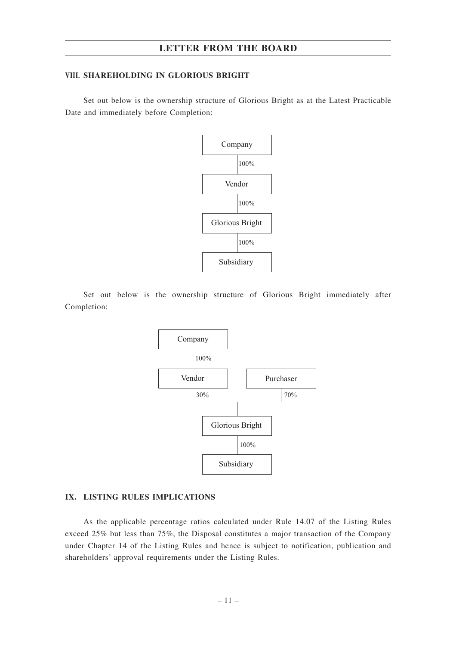## **VIII. SHAREHOLDING IN GLORIOUS BRIGHT**

Set out below is the ownership structure of Glorious Bright as at the Latest Practicable Date and immediately before Completion:



Set out below is the ownership structure of Glorious Bright immediately after Completion:



#### **IX. LISTING RULES IMPLICATIONS**

As the applicable percentage ratios calculated under Rule 14.07 of the Listing Rules exceed 25% but less than 75%, the Disposal constitutes a major transaction of the Company under Chapter 14 of the Listing Rules and hence is subject to notification, publication and shareholders' approval requirements under the Listing Rules.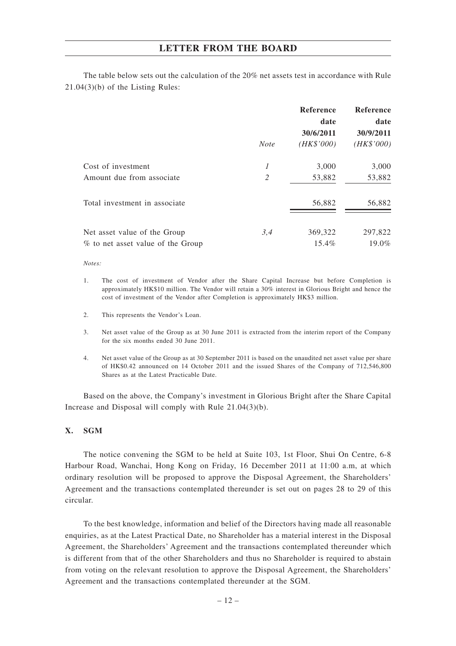The table below sets out the calculation of the 20% net assets test in accordance with Rule 21.04(3)(b) of the Listing Rules:

|                                   |              | <b>Reference</b> | Reference  |
|-----------------------------------|--------------|------------------|------------|
|                                   |              | date             | date       |
|                                   |              | 30/6/2011        | 30/9/2011  |
|                                   | <b>Note</b>  | (HK\$'000)       | (HK\$'000) |
| Cost of investment                | $\mathcal I$ | 3,000            | 3,000      |
| Amount due from associate         | 2            | 53,882           | 53,882     |
| Total investment in associate.    |              | 56,882           | 56,882     |
| Net asset value of the Group      | 3,4          | 369,322          | 297,822    |
| % to net asset value of the Group |              | $15.4\%$         | 19.0%      |

#### *Notes:*

- 1. The cost of investment of Vendor after the Share Capital Increase but before Completion is approximately HK\$10 million. The Vendor will retain a 30% interest in Glorious Bright and hence the cost of investment of the Vendor after Completion is approximately HK\$3 million.
- 2. This represents the Vendor's Loan.
- 3. Net asset value of the Group as at 30 June 2011 is extracted from the interim report of the Company for the six months ended 30 June 2011.
- 4. Net asset value of the Group as at 30 September 2011 is based on the unaudited net asset value per share of HK\$0.42 announced on 14 October 2011 and the issued Shares of the Company of 712,546,800 Shares as at the Latest Practicable Date.

Based on the above, the Company's investment in Glorious Bright after the Share Capital Increase and Disposal will comply with Rule 21.04(3)(b).

## **X. SGM**

The notice convening the SGM to be held at Suite 103, 1st Floor, Shui On Centre, 6-8 Harbour Road, Wanchai, Hong Kong on Friday, 16 December 2011 at 11:00 a.m, at which ordinary resolution will be proposed to approve the Disposal Agreement, the Shareholders' Agreement and the transactions contemplated thereunder is set out on pages 28 to 29 of this circular.

To the best knowledge, information and belief of the Directors having made all reasonable enquiries, as at the Latest Practical Date, no Shareholder has a material interest in the Disposal Agreement, the Shareholders' Agreement and the transactions contemplated thereunder which is different from that of the other Shareholders and thus no Shareholder is required to abstain from voting on the relevant resolution to approve the Disposal Agreement, the Shareholders' Agreement and the transactions contemplated thereunder at the SGM.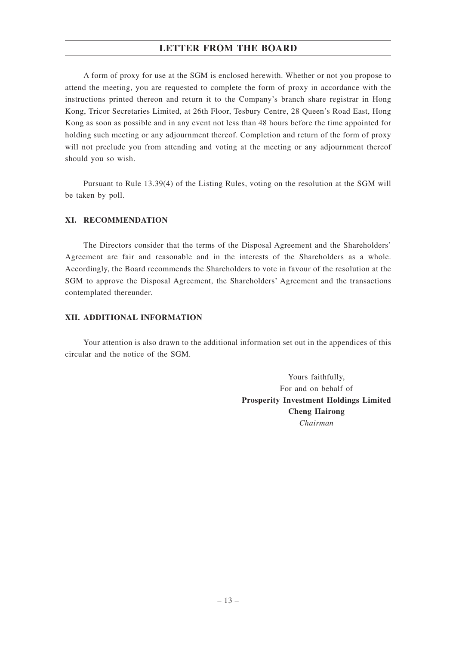A form of proxy for use at the SGM is enclosed herewith. Whether or not you propose to attend the meeting, you are requested to complete the form of proxy in accordance with the instructions printed thereon and return it to the Company's branch share registrar in Hong Kong, Tricor Secretaries Limited, at 26th Floor, Tesbury Centre, 28 Queen's Road East, Hong Kong as soon as possible and in any event not less than 48 hours before the time appointed for holding such meeting or any adjournment thereof. Completion and return of the form of proxy will not preclude you from attending and voting at the meeting or any adjournment thereof should you so wish.

Pursuant to Rule 13.39(4) of the Listing Rules, voting on the resolution at the SGM will be taken by poll.

## **XI. RECOMMENDATION**

The Directors consider that the terms of the Disposal Agreement and the Shareholders' Agreement are fair and reasonable and in the interests of the Shareholders as a whole. Accordingly, the Board recommends the Shareholders to vote in favour of the resolution at the SGM to approve the Disposal Agreement, the Shareholders' Agreement and the transactions contemplated thereunder.

## **XII. ADDITIONAL INFORMATION**

Your attention is also drawn to the additional information set out in the appendices of this circular and the notice of the SGM.

> Yours faithfully, For and on behalf of **Prosperity Investment Holdings Limited Cheng Hairong** *Chairman*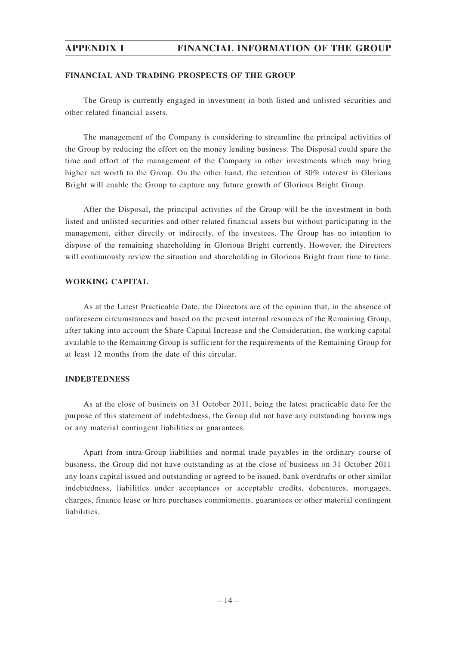## **FINANCIAL AND TRADING PROSPECTS OF THE GROUP**

The Group is currently engaged in investment in both listed and unlisted securities and other related financial assets.

The management of the Company is considering to streamline the principal activities of the Group by reducing the effort on the money lending business. The Disposal could spare the time and effort of the management of the Company in other investments which may bring higher net worth to the Group. On the other hand, the retention of 30% interest in Glorious Bright will enable the Group to capture any future growth of Glorious Bright Group.

After the Disposal, the principal activities of the Group will be the investment in both listed and unlisted securities and other related financial assets but without participating in the management, either directly or indirectly, of the investees. The Group has no intention to dispose of the remaining shareholding in Glorious Bright currently. However, the Directors will continuously review the situation and shareholding in Glorious Bright from time to time.

## **WORKING CAPITAL**

As at the Latest Practicable Date, the Directors are of the opinion that, in the absence of unforeseen circumstances and based on the present internal resources of the Remaining Group, after taking into account the Share Capital Increase and the Consideration, the working capital available to the Remaining Group is sufficient for the requirements of the Remaining Group for at least 12 months from the date of this circular.

## **INDEBTEDNESS**

As at the close of business on 31 October 2011, being the latest practicable date for the purpose of this statement of indebtedness, the Group did not have any outstanding borrowings or any material contingent liabilities or guarantees.

Apart from intra-Group liabilities and normal trade payables in the ordinary course of business, the Group did not have outstanding as at the close of business on 31 October 2011 any loans capital issued and outstanding or agreed to be issued, bank overdrafts or other similar indebtedness, liabilities under acceptances or acceptable credits, debentures, mortgages, charges, finance lease or hire purchases commitments, guarantees or other material contingent liabilities.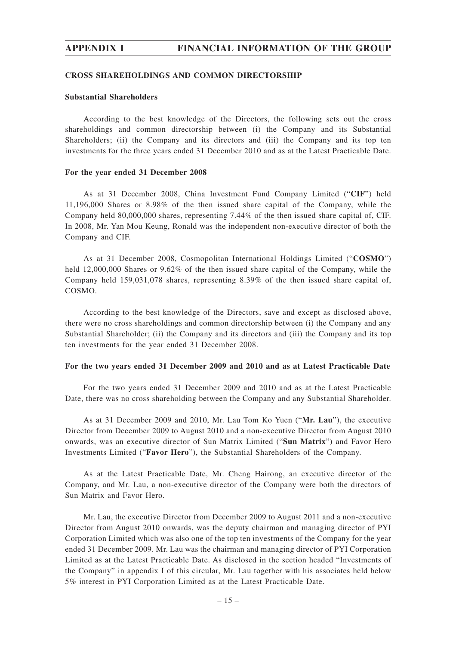#### **CROSS SHAREHOLDINGS AND COMMON DIRECTORSHIP**

## **Substantial Shareholders**

According to the best knowledge of the Directors, the following sets out the cross shareholdings and common directorship between (i) the Company and its Substantial Shareholders; (ii) the Company and its directors and (iii) the Company and its top ten investments for the three years ended 31 December 2010 and as at the Latest Practicable Date.

### **For the year ended 31 December 2008**

As at 31 December 2008, China Investment Fund Company Limited ("**CIF**") held 11,196,000 Shares or 8.98% of the then issued share capital of the Company, while the Company held 80,000,000 shares, representing 7.44% of the then issued share capital of, CIF. In 2008, Mr. Yan Mou Keung, Ronald was the independent non-executive director of both the Company and CIF.

As at 31 December 2008, Cosmopolitan International Holdings Limited ("**COSMO**") held 12,000,000 Shares or 9.62% of the then issued share capital of the Company, while the Company held 159,031,078 shares, representing 8.39% of the then issued share capital of, COSMO.

According to the best knowledge of the Directors, save and except as disclosed above, there were no cross shareholdings and common directorship between (i) the Company and any Substantial Shareholder; (ii) the Company and its directors and (iii) the Company and its top ten investments for the year ended 31 December 2008.

## **For the two years ended 31 December 2009 and 2010 and as at Latest Practicable Date**

For the two years ended 31 December 2009 and 2010 and as at the Latest Practicable Date, there was no cross shareholding between the Company and any Substantial Shareholder.

As at 31 December 2009 and 2010, Mr. Lau Tom Ko Yuen ("**Mr. Lau**"), the executive Director from December 2009 to August 2010 and a non-executive Director from August 2010 onwards, was an executive director of Sun Matrix Limited ("**Sun Matrix**") and Favor Hero Investments Limited ("**Favor Hero**"), the Substantial Shareholders of the Company.

As at the Latest Practicable Date, Mr. Cheng Hairong, an executive director of the Company, and Mr. Lau, a non-executive director of the Company were both the directors of Sun Matrix and Favor Hero.

Mr. Lau, the executive Director from December 2009 to August 2011 and a non-executive Director from August 2010 onwards, was the deputy chairman and managing director of PYI Corporation Limited which was also one of the top ten investments of the Company for the year ended 31 December 2009. Mr. Lau was the chairman and managing director of PYI Corporation Limited as at the Latest Practicable Date. As disclosed in the section headed "Investments of the Company" in appendix I of this circular, Mr. Lau together with his associates held below 5% interest in PYI Corporation Limited as at the Latest Practicable Date.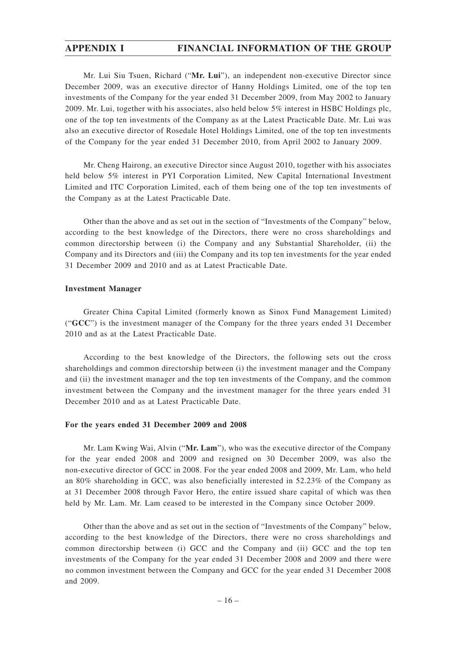Mr. Lui Siu Tsuen, Richard ("**Mr. Lui**"), an independent non-executive Director since December 2009, was an executive director of Hanny Holdings Limited, one of the top ten investments of the Company for the year ended 31 December 2009, from May 2002 to January 2009. Mr. Lui, together with his associates, also held below 5% interest in HSBC Holdings plc, one of the top ten investments of the Company as at the Latest Practicable Date. Mr. Lui was also an executive director of Rosedale Hotel Holdings Limited, one of the top ten investments of the Company for the year ended 31 December 2010, from April 2002 to January 2009.

Mr. Cheng Hairong, an executive Director since August 2010, together with his associates held below 5% interest in PYI Corporation Limited, New Capital International Investment Limited and ITC Corporation Limited, each of them being one of the top ten investments of the Company as at the Latest Practicable Date.

Other than the above and as set out in the section of "Investments of the Company" below, according to the best knowledge of the Directors, there were no cross shareholdings and common directorship between (i) the Company and any Substantial Shareholder, (ii) the Company and its Directors and (iii) the Company and its top ten investments for the year ended 31 December 2009 and 2010 and as at Latest Practicable Date.

#### **Investment Manager**

Greater China Capital Limited (formerly known as Sinox Fund Management Limited) ("**GCC**") is the investment manager of the Company for the three years ended 31 December 2010 and as at the Latest Practicable Date.

According to the best knowledge of the Directors, the following sets out the cross shareholdings and common directorship between (i) the investment manager and the Company and (ii) the investment manager and the top ten investments of the Company, and the common investment between the Company and the investment manager for the three years ended 31 December 2010 and as at Latest Practicable Date.

## **For the years ended 31 December 2009 and 2008**

Mr. Lam Kwing Wai, Alvin ("**Mr. Lam**"), who was the executive director of the Company for the year ended 2008 and 2009 and resigned on 30 December 2009, was also the non-executive director of GCC in 2008. For the year ended 2008 and 2009, Mr. Lam, who held an 80% shareholding in GCC, was also beneficially interested in 52.23% of the Company as at 31 December 2008 through Favor Hero, the entire issued share capital of which was then held by Mr. Lam. Mr. Lam ceased to be interested in the Company since October 2009.

Other than the above and as set out in the section of "Investments of the Company" below, according to the best knowledge of the Directors, there were no cross shareholdings and common directorship between (i) GCC and the Company and (ii) GCC and the top ten investments of the Company for the year ended 31 December 2008 and 2009 and there were no common investment between the Company and GCC for the year ended 31 December 2008 and 2009.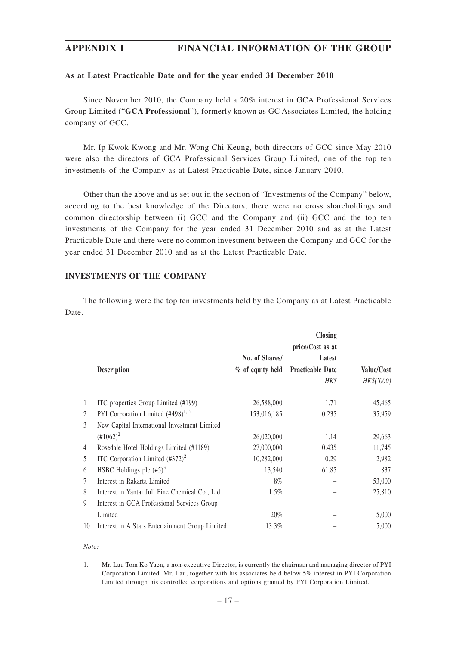### **As at Latest Practicable Date and for the year ended 31 December 2010**

Since November 2010, the Company held a 20% interest in GCA Professional Services Group Limited ("**GCA Professional**"), formerly known as GC Associates Limited, the holding company of GCC.

Mr. Ip Kwok Kwong and Mr. Wong Chi Keung, both directors of GCC since May 2010 were also the directors of GCA Professional Services Group Limited, one of the top ten investments of the Company as at Latest Practicable Date, since January 2010.

Other than the above and as set out in the section of "Investments of the Company" below, according to the best knowledge of the Directors, there were no cross shareholdings and common directorship between (i) GCC and the Company and (ii) GCC and the top ten investments of the Company for the year ended 31 December 2010 and as at the Latest Practicable Date and there were no common investment between the Company and GCC for the year ended 31 December 2010 and as at the Latest Practicable Date.

## **INVESTMENTS OF THE COMPANY**

The following were the top ten investments held by the Company as at Latest Practicable Date.

|                | Description                                     | No. of Shares/ | <b>Closing</b><br>price/Cost as at<br>Latest<br>% of equity held Practicable Date<br>HK\$ | Value/Cost<br>HK\$('000) |
|----------------|-------------------------------------------------|----------------|-------------------------------------------------------------------------------------------|--------------------------|
| $\mathbf{1}$   | ITC properties Group Limited (#199)             | 26,588,000     | 1.71                                                                                      | 45,465                   |
| $\overline{2}$ | PYI Corporation Limited $(#498)^{1,2}$          | 153,016,185    | 0.235                                                                                     | 35,959                   |
| 3              | New Capital International Investment Limited    |                |                                                                                           |                          |
|                | $(\text{\#}1062)^2$                             | 26,020,000     | 1.14                                                                                      | 29,663                   |
| 4              | Rosedale Hotel Holdings Limited (#1189)         | 27,000,000     | 0.435                                                                                     | 11,745                   |
| 5              | ITC Corporation Limited $(\text{\#372})^2$      | 10,282,000     | 0.29                                                                                      | 2,982                    |
| 6              | HSBC Holdings plc $(\#5)^3$                     | 13,540         | 61.85                                                                                     | 837                      |
| 7              | Interest in Rakarta Limited                     | $8\%$          |                                                                                           | 53,000                   |
| 8              | Interest in Yantai Juli Fine Chemical Co., Ltd  | $1.5\%$        |                                                                                           | 25,810                   |
| 9              | Interest in GCA Professional Services Group     |                |                                                                                           |                          |
|                | Limited                                         | 20%            |                                                                                           | 5,000                    |
| 10             | Interest in A Stars Entertainment Group Limited | 13.3%          |                                                                                           | 5,000                    |

#### *Note:*

<sup>1.</sup> Mr. Lau Tom Ko Yuen, a non-executive Director, is currently the chairman and managing director of PYI Corporation Limited. Mr. Lau, together with his associates held below 5% interest in PYI Corporation Limited through his controlled corporations and options granted by PYI Corporation Limited.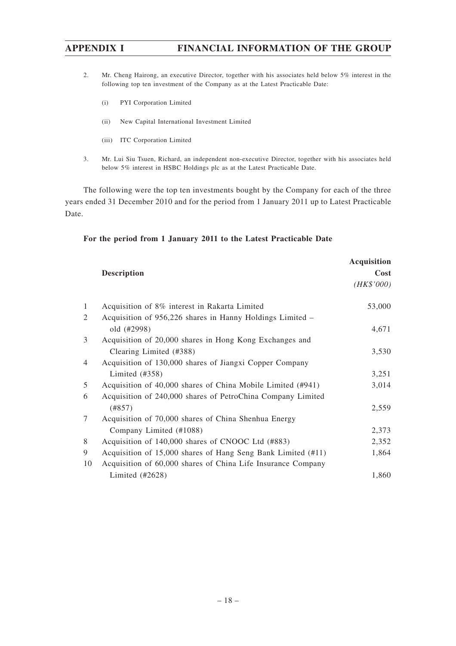- 2. Mr. Cheng Hairong, an executive Director, together with his associates held below 5% interest in the following top ten investment of the Company as at the Latest Practicable Date:
	- (i) PYI Corporation Limited
	- (ii) New Capital International Investment Limited
	- (iii) ITC Corporation Limited
- 3. Mr. Lui Siu Tsuen, Richard, an independent non-executive Director, together with his associates held below 5% interest in HSBC Holdings plc as at the Latest Practicable Date.

The following were the top ten investments bought by the Company for each of the three years ended 31 December 2010 and for the period from 1 January 2011 up to Latest Practicable Date.

| For the period from 1 January 2011 to the Latest Practicable Date |  |  |  |  |  |  |  |  |  |  |
|-------------------------------------------------------------------|--|--|--|--|--|--|--|--|--|--|
|-------------------------------------------------------------------|--|--|--|--|--|--|--|--|--|--|

|                |                                                              | <b>Acquisition</b> |
|----------------|--------------------------------------------------------------|--------------------|
|                | <b>Description</b>                                           | Cost               |
|                |                                                              | (HK\$'000)         |
| 1              | Acquisition of 8% interest in Rakarta Limited                | 53,000             |
| 2              | Acquisition of 956,226 shares in Hanny Holdings Limited -    |                    |
|                | old (#2998)                                                  | 4,671              |
| 3              | Acquisition of 20,000 shares in Hong Kong Exchanges and      |                    |
|                | Clearing Limited (#388)                                      | 3,530              |
| $\overline{4}$ | Acquisition of 130,000 shares of Jiangxi Copper Company      |                    |
|                | Limited $(\text{\#358})$                                     | 3,251              |
| 5              | Acquisition of 40,000 shares of China Mobile Limited (#941)  | 3,014              |
| 6              | Acquisition of 240,000 shares of PetroChina Company Limited  |                    |
|                | (#857)                                                       | 2,559              |
| 7              | Acquisition of 70,000 shares of China Shenhua Energy         |                    |
|                | Company Limited (#1088)                                      | 2,373              |
| 8              | Acquisition of 140,000 shares of CNOOC Ltd (#883)            | 2,352              |
| 9              | Acquisition of 15,000 shares of Hang Seng Bank Limited (#11) | 1,864              |
| 10             | Acquisition of 60,000 shares of China Life Insurance Company |                    |
|                | Limited (#2628)                                              | 1,860              |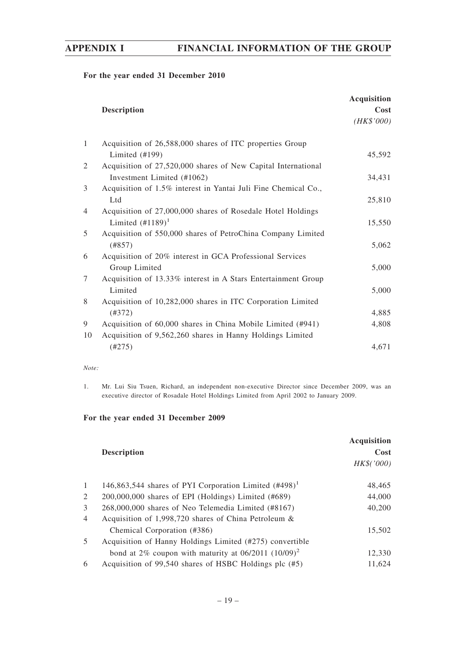## **For the year ended 31 December 2010**

|                |                                                                | <b>Acquisition</b> |
|----------------|----------------------------------------------------------------|--------------------|
|                | <b>Description</b>                                             | Cost<br>(HK\$'000) |
| 1              | Acquisition of 26,588,000 shares of ITC properties Group       |                    |
|                | Limited $(\text{\#}199)$                                       | 45,592             |
| 2              | Acquisition of 27,520,000 shares of New Capital International  |                    |
|                | Investment Limited (#1062)                                     | 34,431             |
| 3              | Acquisition of 1.5% interest in Yantai Juli Fine Chemical Co., |                    |
|                | Ltd                                                            | 25,810             |
| $\overline{4}$ | Acquisition of 27,000,000 shares of Rosedale Hotel Holdings    |                    |
|                | Limited $(\text{\#}1189)^1$                                    | 15,550             |
| 5              | Acquisition of 550,000 shares of PetroChina Company Limited    |                    |
|                | (#857)                                                         | 5,062              |
| 6              | Acquisition of 20% interest in GCA Professional Services       |                    |
|                | Group Limited                                                  | 5,000              |
| 7              | Acquisition of 13.33% interest in A Stars Entertainment Group  |                    |
|                | Limited                                                        | 5,000              |
| 8              | Acquisition of 10,282,000 shares in ITC Corporation Limited    |                    |
|                | (#372)                                                         | 4,885              |
| 9              | Acquisition of 60,000 shares in China Mobile Limited (#941)    | 4,808              |
| 10             | Acquisition of 9,562,260 shares in Hanny Holdings Limited      |                    |
|                | (#275)                                                         | 4,671              |

#### *Note:*

1. Mr. Lui Siu Tsuen, Richard, an independent non-executive Director since December 2009, was an executive director of Rosadale Hotel Holdings Limited from April 2002 to January 2009.

|                | <b>Description</b>                                                | <b>Acquisition</b><br>Cost<br>HK\$('000) |
|----------------|-------------------------------------------------------------------|------------------------------------------|
| 1              | 146,863,544 shares of PYI Corporation Limited (#498) <sup>1</sup> | 48.465                                   |
| 2              | $200,000,000$ shares of EPI (Holdings) Limited $(\text{\#}689)$   | 44,000                                   |
| 3              | 268,000,000 shares of Neo Telemedia Limited (#8167)               | 40,200                                   |
| $\overline{4}$ | Acquisition of 1,998,720 shares of China Petroleum $\&$           |                                          |
|                | Chemical Corporation (#386)                                       | 15,502                                   |
| 5              | Acquisition of Hanny Holdings Limited (#275) convertible          |                                          |
|                | bond at 2% coupon with maturity at $06/2011$ $(10/09)^2$          | 12.330                                   |
| 6              | Acquisition of 99,540 shares of HSBC Holdings plc (#5)            | 11,624                                   |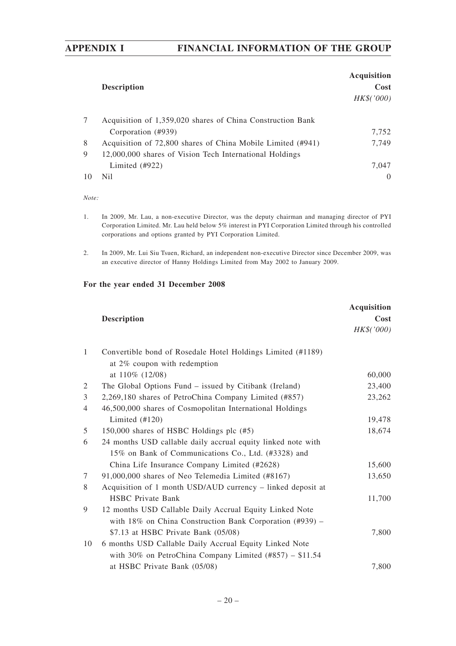|    | <b>Description</b>                                          | <b>Acquisition</b><br>Cost<br>HK\$('000) |
|----|-------------------------------------------------------------|------------------------------------------|
| 7  | Acquisition of 1,359,020 shares of China Construction Bank  |                                          |
|    | Corporation (#939)                                          | 7,752                                    |
| 8  | Acquisition of 72,800 shares of China Mobile Limited (#941) | 7,749                                    |
| 9  | 12,000,000 shares of Vision Tech International Holdings     |                                          |
|    | Limited $(\text{\#922})$                                    | 7.047                                    |
| 10 | Nil.                                                        | $\Omega$                                 |

*Note:*

- 1. In 2009, Mr. Lau, a non-executive Director, was the deputy chairman and managing director of PYI Corporation Limited. Mr. Lau held below 5% interest in PYI Corporation Limited through his controlled corporations and options granted by PYI Corporation Limited.
- 2. In 2009, Mr. Lui Siu Tsuen, Richard, an independent non-executive Director since December 2009, was an executive director of Hanny Holdings Limited from May 2002 to January 2009.

|                | <b>Description</b>                                                | Acquisition<br>Cost |
|----------------|-------------------------------------------------------------------|---------------------|
|                |                                                                   | HK\$('000)          |
| $\mathbf{1}$   | Convertible bond of Rosedale Hotel Holdings Limited (#1189)       |                     |
|                | at 2% coupon with redemption                                      |                     |
|                | at 110% (12/08)                                                   | 60,000              |
| 2              | The Global Options Fund – issued by Citibank (Ireland)            | 23,400              |
| 3              | 2,269,180 shares of PetroChina Company Limited (#857)             | 23,262              |
| $\overline{4}$ | 46,500,000 shares of Cosmopolitan International Holdings          |                     |
|                | Limited $(\text{\#}120)$                                          | 19,478              |
| 5              | 150,000 shares of HSBC Holdings plc (#5)                          | 18,674              |
| 6              | 24 months USD callable daily accrual equity linked note with      |                     |
|                | 15% on Bank of Communications Co., Ltd. (#3328) and               |                     |
|                | China Life Insurance Company Limited (#2628)                      | 15,600              |
| 7              | 91,000,000 shares of Neo Telemedia Limited (#8167)                | 13,650              |
| 8              | Acquisition of 1 month USD/AUD currency - linked deposit at       |                     |
|                | <b>HSBC</b> Private Bank                                          | 11,700              |
| 9              | 12 months USD Callable Daily Accrual Equity Linked Note           |                     |
|                | with $18\%$ on China Construction Bank Corporation (#939) –       |                     |
|                | $$7.13$ at HSBC Private Bank (05/08)                              | 7,800               |
| 10             | 6 months USD Callable Daily Accrual Equity Linked Note            |                     |
|                | with 30% on PetroChina Company Limited $(\text{\#857}) - \$11.54$ |                     |
|                | at HSBC Private Bank (05/08)                                      | 7,800               |
|                |                                                                   |                     |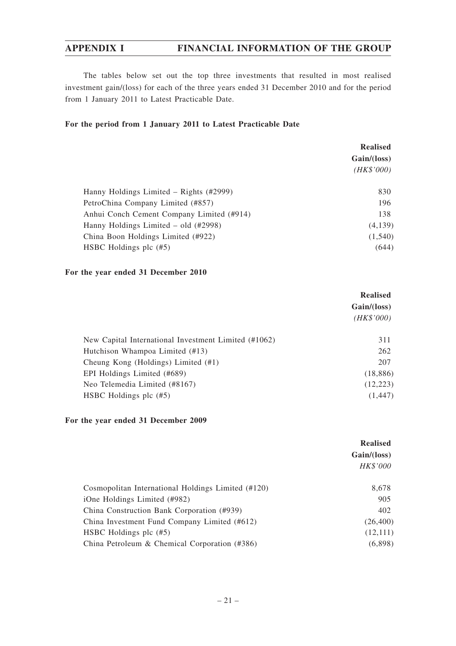The tables below set out the top three investments that resulted in most realised investment gain/(loss) for each of the three years ended 31 December 2010 and for the period from 1 January 2011 to Latest Practicable Date.

# **For the period from 1 January 2011 to Latest Practicable Date**

|                                           | <b>Realised</b><br>Gain/(loss) |
|-------------------------------------------|--------------------------------|
|                                           | (HK\$'000)                     |
| Hanny Holdings Limited – Rights (#2999)   | 830                            |
| PetroChina Company Limited (#857)         | 196                            |
| Anhui Conch Cement Company Limited (#914) | 138                            |
| Hanny Holdings Limited $-$ old $(#2998)$  | (4,139)                        |
| China Boon Holdings Limited (#922)        | (1,540)                        |
| HSBC Holdings plc $(\#5)$                 | (644)                          |

## **For the year ended 31 December 2010**

|                                                      | <b>Realised</b><br>Gain/(loss)<br>(HK\$'000) |
|------------------------------------------------------|----------------------------------------------|
| New Capital International Investment Limited (#1062) | 311                                          |
| Hutchison Whampoa Limited (#13)                      | 262                                          |
| Cheung Kong (Holdings) Limited (#1)                  | 207                                          |
| EPI Holdings Limited (#689)                          | (18, 886)                                    |
| Neo Telemedia Limited (#8167)                        | (12, 223)                                    |
| HSBC Holdings plc $(\#5)$                            | (1, 447)                                     |

|                                                    | <b>Realised</b> |
|----------------------------------------------------|-----------------|
|                                                    | Gain/(loss)     |
|                                                    | HK\$'000        |
| Cosmopolitan International Holdings Limited (#120) | 8,678           |
| iOne Holdings Limited (#982)                       | 905             |
| China Construction Bank Corporation (#939)         | 402             |
| China Investment Fund Company Limited (#612)       | (26, 400)       |
| HSBC Holdings plc $(\#5)$                          | (12,111)        |
| China Petroleum & Chemical Corporation $(#386)$    | (6,898)         |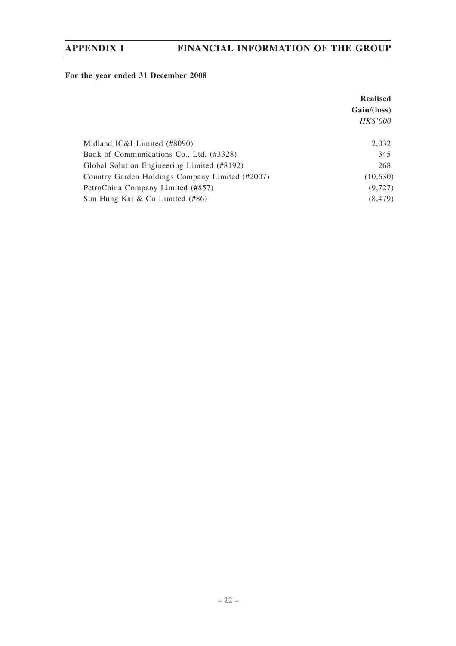|                                                 | <b>Realised</b> |
|-------------------------------------------------|-----------------|
|                                                 | Gain/(loss)     |
|                                                 | HK\$'000        |
| Midland IC&I Limited (#8090)                    | 2,032           |
| Bank of Communications Co., Ltd. (#3328)        | 345             |
| Global Solution Engineering Limited (#8192)     | 268             |
| Country Garden Holdings Company Limited (#2007) | (10,630)        |
| PetroChina Company Limited (#857)               | (9, 727)        |
| Sun Hung Kai & Co Limited (#86)                 | (8, 479)        |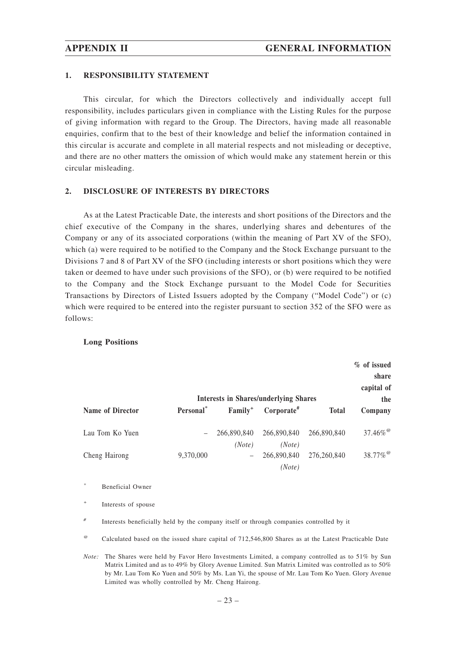## **1. RESPONSIBILITY STATEMENT**

This circular, for which the Directors collectively and individually accept full responsibility, includes particulars given in compliance with the Listing Rules for the purpose of giving information with regard to the Group. The Directors, having made all reasonable enquiries, confirm that to the best of their knowledge and belief the information contained in this circular is accurate and complete in all material respects and not misleading or deceptive, and there are no other matters the omission of which would make any statement herein or this circular misleading.

## **2. DISCLOSURE OF INTERESTS BY DIRECTORS**

As at the Latest Practicable Date, the interests and short positions of the Directors and the chief executive of the Company in the shares, underlying shares and debentures of the Company or any of its associated corporations (within the meaning of Part XV of the SFO), which (a) were required to be notified to the Company and the Stock Exchange pursuant to the Divisions 7 and 8 of Part XV of the SFO (including interests or short positions which they were taken or deemed to have under such provisions of the SFO), or (b) were required to be notified to the Company and the Stock Exchange pursuant to the Model Code for Securities Transactions by Directors of Listed Issuers adopted by the Company ("Model Code") or (c) which were required to be entered into the register pursuant to section 352 of the SFO were as follows:

### **Long Positions**

|                         |                          |                          | <b>Interests in Shares/underlying Shares</b> |              | % of issued<br>share<br>capital of<br>the |
|-------------------------|--------------------------|--------------------------|----------------------------------------------|--------------|-------------------------------------------|
| <b>Name of Director</b> | Personal*                | $Family^+$               | Corporate#                                   | <b>Total</b> | Company                                   |
| Lau Tom Ko Yuen         | $\overline{\phantom{m}}$ | 266,890,840<br>(Note)    | 266,890,840<br>(Note)                        | 266,890,840  | $37.46\%$                                 |
| Cheng Hairong           | 9,370,000                | $\overline{\phantom{m}}$ | 266,890,840<br>(Note)                        | 276,260,840  | $38.77\%$ <sup>@</sup>                    |

*\** Beneficial Owner

*+* Interests of spouse

*#* Interests beneficially held by the company itself or through companies controlled by it

*@* Calculated based on the issued share capital of 712,546,800 Shares as at the Latest Practicable Date

*Note:* The Shares were held by Favor Hero Investments Limited, a company controlled as to 51% by Sun Matrix Limited and as to 49% by Glory Avenue Limited. Sun Matrix Limited was controlled as to 50% by Mr. Lau Tom Ko Yuen and 50% by Ms. Lan Yi, the spouse of Mr. Lau Tom Ko Yuen. Glory Avenue Limited was wholly controlled by Mr. Cheng Hairong.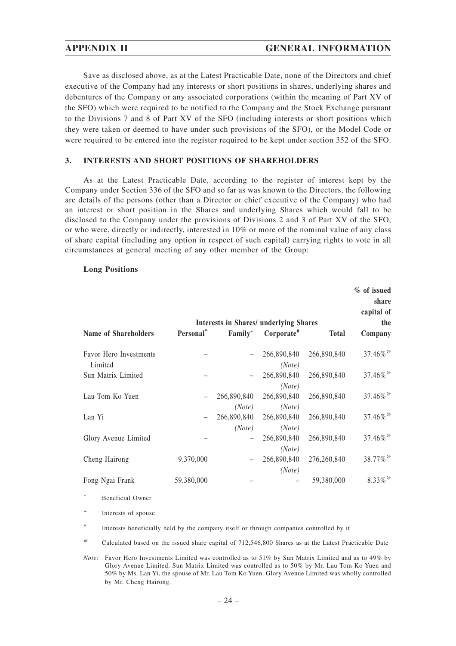Save as disclosed above, as at the Latest Practicable Date, none of the Directors and chief executive of the Company had any interests or short positions in shares, underlying shares and debentures of the Company or any associated corporations (within the meaning of Part XV of the SFO) which were required to be notified to the Company and the Stock Exchange pursuant to the Divisions 7 and 8 of Part XV of the SFO (including interests or short positions which they were taken or deemed to have under such provisions of the SFO), or the Model Code or were required to be entered into the register required to be kept under section 352 of the SFO.

## **3. INTERESTS AND SHORT POSITIONS OF SHAREHOLDERS**

As at the Latest Practicable Date, according to the register of interest kept by the Company under Section 336 of the SFO and so far as was known to the Directors, the following are details of the persons (other than a Director or chief executive of the Company) who had an interest or short position in the Shares and underlying Shares which would fall to be disclosed to the Company under the provisions of Divisions 2 and 3 of Part XV of the SFO, or who were, directly or indirectly, interested in 10% or more of the nominal value of any class of share capital (including any option in respect of such capital) carrying rights to vote in all circumstances at general meeting of any other member of the Group:

## **Long Positions**

|                                   |            | <b>Interests in Shares/ underlying Shares</b> |                          |              | % of issued<br>share<br>capital of<br>the |
|-----------------------------------|------------|-----------------------------------------------|--------------------------|--------------|-------------------------------------------|
| <b>Name of Shareholders</b>       | Personal*  | Family <sup>+</sup>                           | $Corporate$ <sup>#</sup> | <b>Total</b> | Company                                   |
| Favor Hero Investments<br>Limited |            |                                               | 266,890,840<br>(Note)    | 266,890,840  | $37.46\%$ <sup>@</sup>                    |
| Sun Matrix Limited                |            |                                               | 266,890,840<br>(Note)    | 266,890,840  | $37.46\%$ <sup>@</sup>                    |
| Lau Tom Ko Yuen                   |            | 266,890,840<br>(Note)                         | 266,890,840<br>(Note)    | 266,890,840  | $37.46\%$ <sup>@</sup>                    |
| Lan Yi                            |            | 266,890,840<br>(Note)                         | 266,890,840<br>(Note)    | 266,890,840  | $37.46\%$ <sup>@</sup>                    |
| Glory Avenue Limited              |            |                                               | 266,890,840<br>(Note)    | 266,890,840  | $37.46\%$ <sup>@</sup>                    |
| Cheng Hairong                     | 9,370,000  |                                               | 266,890,840<br>(Note)    | 276,260,840  | 38.77% <sup>@</sup>                       |
| Fong Ngai Frank                   | 59,380,000 |                                               |                          | 59,380,000   | $8.33\%$ <sup>@</sup>                     |

*\** Beneficial Owner

*+* Interests of spouse

*#* Interests beneficially held by the company itself or through companies controlled by it

*@* Calculated based on the issued share capital of 712,546,800 Shares as at the Latest Practicable Date

*Note:* Favor Hero Investments Limited was controlled as to 51% by Sun Matrix Limited and as to 49% by Glory Avenue Limited. Sun Matrix Limited was controlled as to 50% by Mr. Lau Tom Ko Yuen and 50% by Ms. Lan Yi, the spouse of Mr. Lau Tom Ko Yuen. Glory Avenue Limited was wholly controlled by Mr. Cheng Hairong.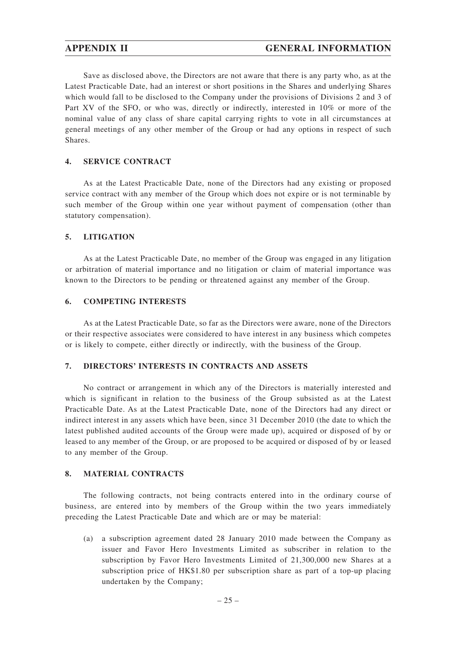Save as disclosed above, the Directors are not aware that there is any party who, as at the Latest Practicable Date, had an interest or short positions in the Shares and underlying Shares which would fall to be disclosed to the Company under the provisions of Divisions 2 and 3 of Part XV of the SFO, or who was, directly or indirectly, interested in 10% or more of the nominal value of any class of share capital carrying rights to vote in all circumstances at general meetings of any other member of the Group or had any options in respect of such Shares.

# **4. SERVICE CONTRACT**

As at the Latest Practicable Date, none of the Directors had any existing or proposed service contract with any member of the Group which does not expire or is not terminable by such member of the Group within one year without payment of compensation (other than statutory compensation).

## **5. LITIGATION**

As at the Latest Practicable Date, no member of the Group was engaged in any litigation or arbitration of material importance and no litigation or claim of material importance was known to the Directors to be pending or threatened against any member of the Group.

## **6. COMPETING INTERESTS**

As at the Latest Practicable Date, so far as the Directors were aware, none of the Directors or their respective associates were considered to have interest in any business which competes or is likely to compete, either directly or indirectly, with the business of the Group.

# **7. DIRECTORS' INTERESTS IN CONTRACTS AND ASSETS**

No contract or arrangement in which any of the Directors is materially interested and which is significant in relation to the business of the Group subsisted as at the Latest Practicable Date. As at the Latest Practicable Date, none of the Directors had any direct or indirect interest in any assets which have been, since 31 December 2010 (the date to which the latest published audited accounts of the Group were made up), acquired or disposed of by or leased to any member of the Group, or are proposed to be acquired or disposed of by or leased to any member of the Group.

## **8. MATERIAL CONTRACTS**

The following contracts, not being contracts entered into in the ordinary course of business, are entered into by members of the Group within the two years immediately preceding the Latest Practicable Date and which are or may be material:

(a) a subscription agreement dated 28 January 2010 made between the Company as issuer and Favor Hero Investments Limited as subscriber in relation to the subscription by Favor Hero Investments Limited of 21,300,000 new Shares at a subscription price of HK\$1.80 per subscription share as part of a top-up placing undertaken by the Company;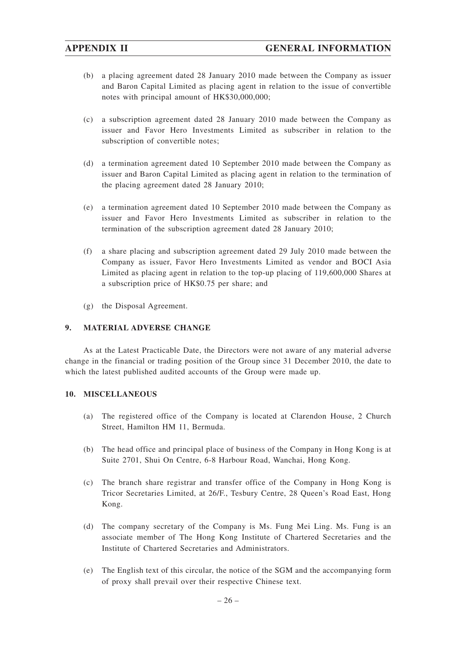- (b) a placing agreement dated 28 January 2010 made between the Company as issuer and Baron Capital Limited as placing agent in relation to the issue of convertible notes with principal amount of HK\$30,000,000;
- (c) a subscription agreement dated 28 January 2010 made between the Company as issuer and Favor Hero Investments Limited as subscriber in relation to the subscription of convertible notes;
- (d) a termination agreement dated 10 September 2010 made between the Company as issuer and Baron Capital Limited as placing agent in relation to the termination of the placing agreement dated 28 January 2010;
- (e) a termination agreement dated 10 September 2010 made between the Company as issuer and Favor Hero Investments Limited as subscriber in relation to the termination of the subscription agreement dated 28 January 2010;
- (f) a share placing and subscription agreement dated 29 July 2010 made between the Company as issuer, Favor Hero Investments Limited as vendor and BOCI Asia Limited as placing agent in relation to the top-up placing of 119,600,000 Shares at a subscription price of HK\$0.75 per share; and
- (g) the Disposal Agreement.

# **9. MATERIAL ADVERSE CHANGE**

As at the Latest Practicable Date, the Directors were not aware of any material adverse change in the financial or trading position of the Group since 31 December 2010, the date to which the latest published audited accounts of the Group were made up.

# **10. MISCELLANEOUS**

- (a) The registered office of the Company is located at Clarendon House, 2 Church Street, Hamilton HM 11, Bermuda.
- (b) The head office and principal place of business of the Company in Hong Kong is at Suite 2701, Shui On Centre, 6-8 Harbour Road, Wanchai, Hong Kong.
- (c) The branch share registrar and transfer office of the Company in Hong Kong is Tricor Secretaries Limited, at 26/F., Tesbury Centre, 28 Queen's Road East, Hong Kong.
- (d) The company secretary of the Company is Ms. Fung Mei Ling. Ms. Fung is an associate member of The Hong Kong Institute of Chartered Secretaries and the Institute of Chartered Secretaries and Administrators.
- (e) The English text of this circular, the notice of the SGM and the accompanying form of proxy shall prevail over their respective Chinese text.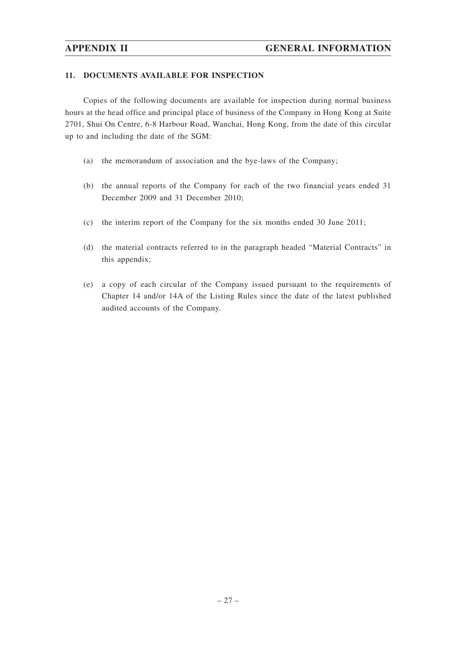## **11. DOCUMENTS AVAILABLE FOR INSPECTION**

Copies of the following documents are available for inspection during normal business hours at the head office and principal place of business of the Company in Hong Kong at Suite 2701, Shui On Centre, 6-8 Harbour Road, Wanchai, Hong Kong, from the date of this circular up to and including the date of the SGM:

- (a) the memorandum of association and the bye-laws of the Company;
- (b) the annual reports of the Company for each of the two financial years ended 31 December 2009 and 31 December 2010;
- (c) the interim report of the Company for the six months ended 30 June 2011;
- (d) the material contracts referred to in the paragraph headed "Material Contracts" in this appendix;
- (e) a copy of each circular of the Company issued pursuant to the requirements of Chapter 14 and/or 14A of the Listing Rules since the date of the latest published audited accounts of the Company.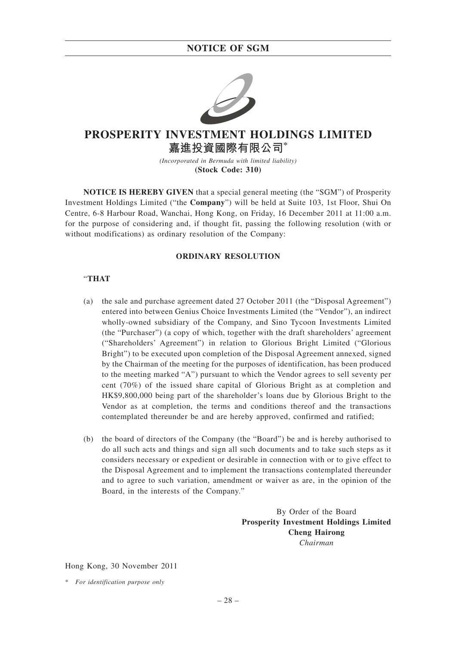

# **PROSPERITY INVESTMENT HOLDINGS LIMITED 嘉進投資國際有限公司\***

*(Incorporated in Bermuda with limited liability)* **(Stock Code: 310)**

**NOTICE IS HEREBY GIVEN** that a special general meeting (the "SGM") of Prosperity Investment Holdings Limited ("the **Company**") will be held at Suite 103, 1st Floor, Shui On Centre, 6-8 Harbour Road, Wanchai, Hong Kong, on Friday, 16 December 2011 at 11:00 a.m. for the purpose of considering and, if thought fit, passing the following resolution (with or without modifications) as ordinary resolution of the Company:

## **ORDINARY RESOLUTION**

# "**THAT**

- (a) the sale and purchase agreement dated 27 October 2011 (the "Disposal Agreement") entered into between Genius Choice Investments Limited (the "Vendor"), an indirect wholly-owned subsidiary of the Company, and Sino Tycoon Investments Limited (the "Purchaser") (a copy of which, together with the draft shareholders' agreement ("Shareholders' Agreement") in relation to Glorious Bright Limited ("Glorious Bright") to be executed upon completion of the Disposal Agreement annexed, signed by the Chairman of the meeting for the purposes of identification, has been produced to the meeting marked "A") pursuant to which the Vendor agrees to sell seventy per cent (70%) of the issued share capital of Glorious Bright as at completion and HK\$9,800,000 being part of the shareholder's loans due by Glorious Bright to the Vendor as at completion, the terms and conditions thereof and the transactions contemplated thereunder be and are hereby approved, confirmed and ratified;
- (b) the board of directors of the Company (the "Board") be and is hereby authorised to do all such acts and things and sign all such documents and to take such steps as it considers necessary or expedient or desirable in connection with or to give effect to the Disposal Agreement and to implement the transactions contemplated thereunder and to agree to such variation, amendment or waiver as are, in the opinion of the Board, in the interests of the Company."

By Order of the Board **Prosperity Investment Holdings Limited Cheng Hairong** *Chairman*

Hong Kong, 30 November 2011

<sup>\*</sup> *For identification purpose only*